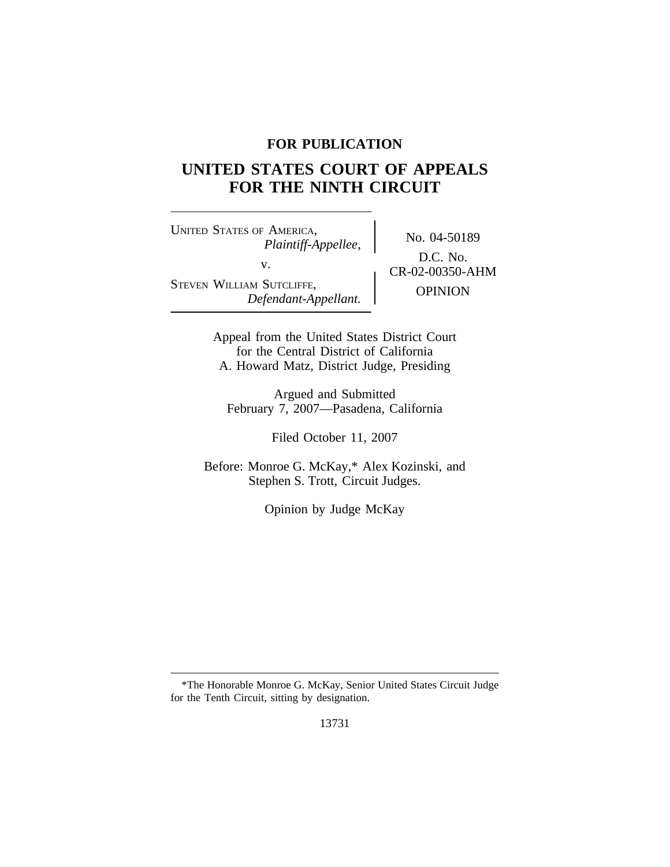# **FOR PUBLICATION**

# **UNITED STATES COURT OF APPEALS FOR THE NINTH CIRCUIT**

<sup>U</sup>NITED STATES OF AMERICA, No. 04-50189 *Plaintiff-Appellee,* v.  $C_{R-02-00350-AHM}^{D.C. 190.}$ STEVEN WILLIAM SUTCLIFFE, OPINION *Defendant-Appellant.*

D.C. No.

Appeal from the United States District Court for the Central District of California A. Howard Matz, District Judge, Presiding

Argued and Submitted February 7, 2007—Pasadena, California

Filed October 11, 2007

Before: Monroe G. McKay,\* Alex Kozinski, and Stephen S. Trott, Circuit Judges.

Opinion by Judge McKay

<sup>\*</sup>The Honorable Monroe G. McKay, Senior United States Circuit Judge for the Tenth Circuit, sitting by designation.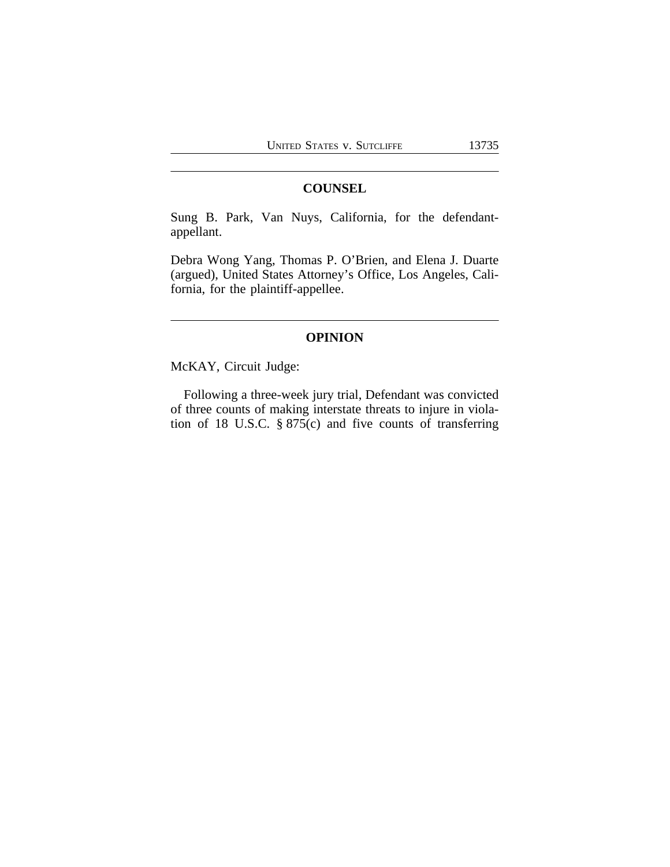# **COUNSEL**

Sung B. Park, Van Nuys, California, for the defendantappellant.

Debra Wong Yang, Thomas P. O'Brien, and Elena J. Duarte (argued), United States Attorney's Office, Los Angeles, California, for the plaintiff-appellee.

# **OPINION**

McKAY, Circuit Judge:

Following a three-week jury trial, Defendant was convicted of three counts of making interstate threats to injure in violation of 18 U.S.C. § 875(c) and five counts of transferring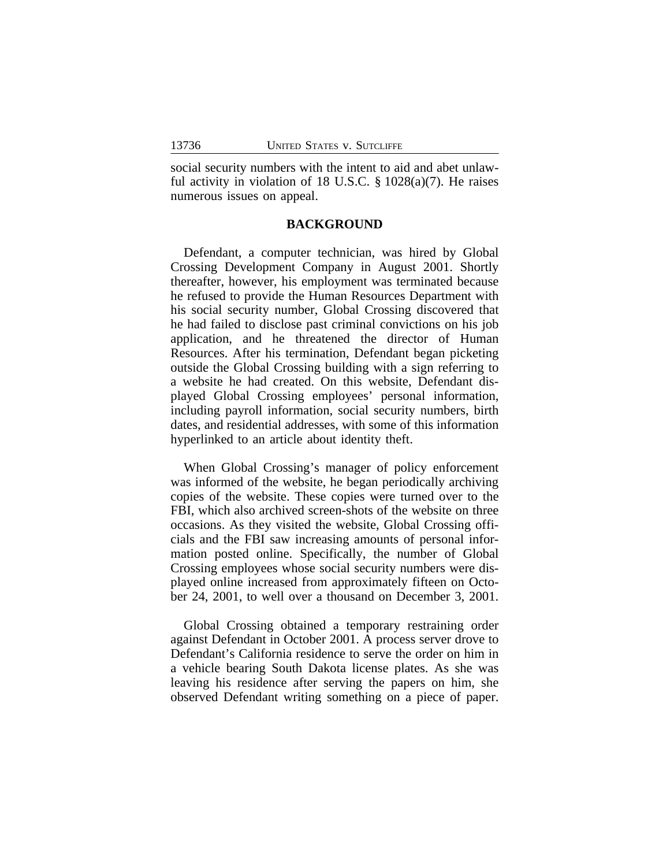social security numbers with the intent to aid and abet unlawful activity in violation of 18 U.S.C. § 1028(a)(7). He raises numerous issues on appeal.

## **BACKGROUND**

Defendant, a computer technician, was hired by Global Crossing Development Company in August 2001. Shortly thereafter, however, his employment was terminated because he refused to provide the Human Resources Department with his social security number, Global Crossing discovered that he had failed to disclose past criminal convictions on his job application, and he threatened the director of Human Resources. After his termination, Defendant began picketing outside the Global Crossing building with a sign referring to a website he had created. On this website, Defendant displayed Global Crossing employees' personal information, including payroll information, social security numbers, birth dates, and residential addresses, with some of this information hyperlinked to an article about identity theft.

When Global Crossing's manager of policy enforcement was informed of the website, he began periodically archiving copies of the website. These copies were turned over to the FBI, which also archived screen-shots of the website on three occasions. As they visited the website, Global Crossing officials and the FBI saw increasing amounts of personal information posted online. Specifically, the number of Global Crossing employees whose social security numbers were displayed online increased from approximately fifteen on October 24, 2001, to well over a thousand on December 3, 2001.

Global Crossing obtained a temporary restraining order against Defendant in October 2001. A process server drove to Defendant's California residence to serve the order on him in a vehicle bearing South Dakota license plates. As she was leaving his residence after serving the papers on him, she observed Defendant writing something on a piece of paper.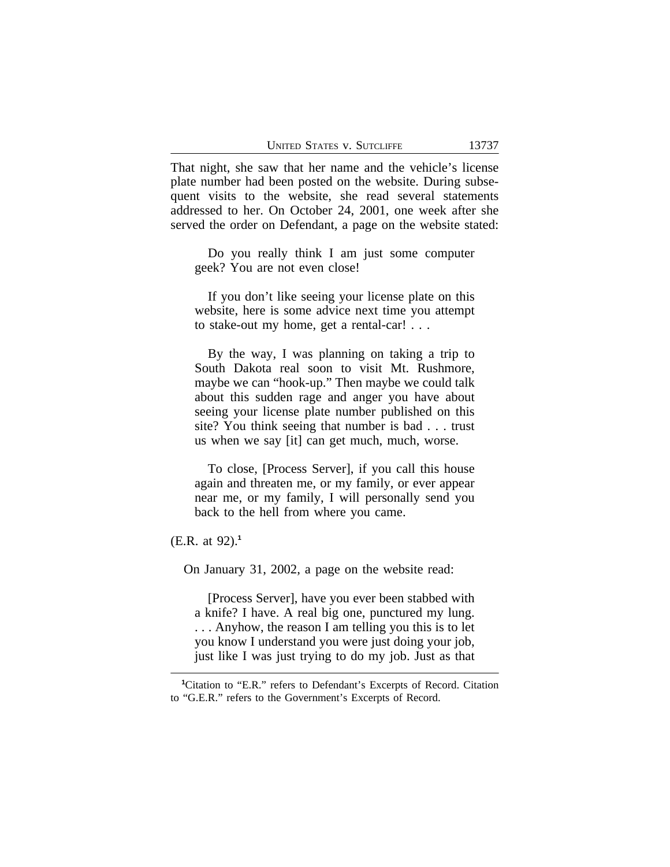That night, she saw that her name and the vehicle's license plate number had been posted on the website. During subsequent visits to the website, she read several statements addressed to her. On October 24, 2001, one week after she served the order on Defendant, a page on the website stated:

Do you really think I am just some computer geek? You are not even close!

If you don't like seeing your license plate on this website, here is some advice next time you attempt to stake-out my home, get a rental-car! . . .

By the way, I was planning on taking a trip to South Dakota real soon to visit Mt. Rushmore, maybe we can "hook-up." Then maybe we could talk about this sudden rage and anger you have about seeing your license plate number published on this site? You think seeing that number is bad . . . trust us when we say [it] can get much, much, worse.

To close, [Process Server], if you call this house again and threaten me, or my family, or ever appear near me, or my family, I will personally send you back to the hell from where you came.

(E.R. at 92).**<sup>1</sup>**

On January 31, 2002, a page on the website read:

[Process Server], have you ever been stabbed with a knife? I have. A real big one, punctured my lung. . . . Anyhow, the reason I am telling you this is to let you know I understand you were just doing your job, just like I was just trying to do my job. Just as that

**<sup>1</sup>**Citation to "E.R." refers to Defendant's Excerpts of Record. Citation to "G.E.R." refers to the Government's Excerpts of Record.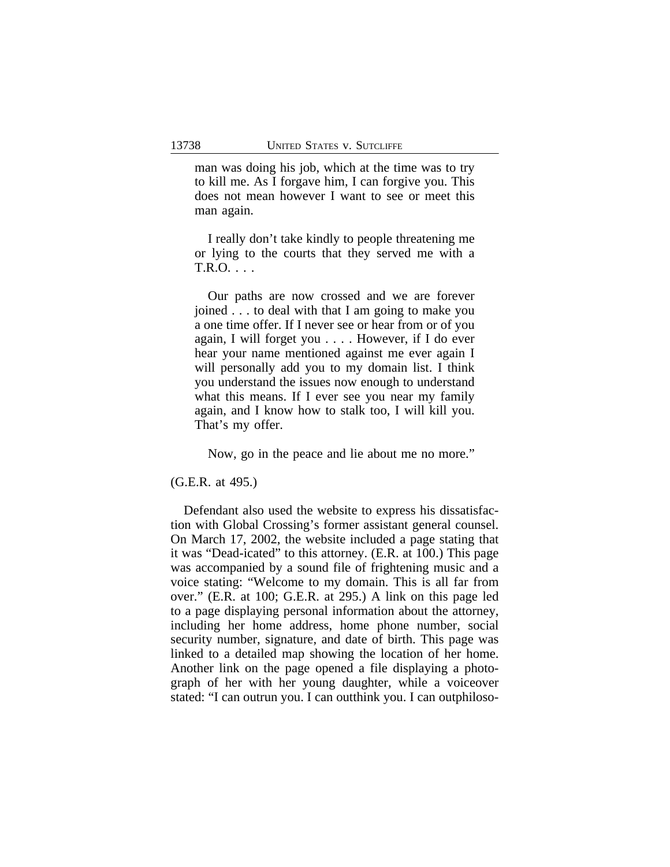man was doing his job, which at the time was to try to kill me. As I forgave him, I can forgive you. This does not mean however I want to see or meet this man again.

I really don't take kindly to people threatening me or lying to the courts that they served me with a T.R.O. . . .

Our paths are now crossed and we are forever joined . . . to deal with that I am going to make you a one time offer. If I never see or hear from or of you again, I will forget you . . . . However, if I do ever hear your name mentioned against me ever again I will personally add you to my domain list. I think you understand the issues now enough to understand what this means. If I ever see you near my family again, and I know how to stalk too, I will kill you. That's my offer.

Now, go in the peace and lie about me no more."

(G.E.R. at 495.)

Defendant also used the website to express his dissatisfaction with Global Crossing's former assistant general counsel. On March 17, 2002, the website included a page stating that it was "Dead-icated" to this attorney. (E.R. at 100.) This page was accompanied by a sound file of frightening music and a voice stating: "Welcome to my domain. This is all far from over." (E.R. at 100; G.E.R. at 295.) A link on this page led to a page displaying personal information about the attorney, including her home address, home phone number, social security number, signature, and date of birth. This page was linked to a detailed map showing the location of her home. Another link on the page opened a file displaying a photograph of her with her young daughter, while a voiceover stated: "I can outrun you. I can outthink you. I can outphiloso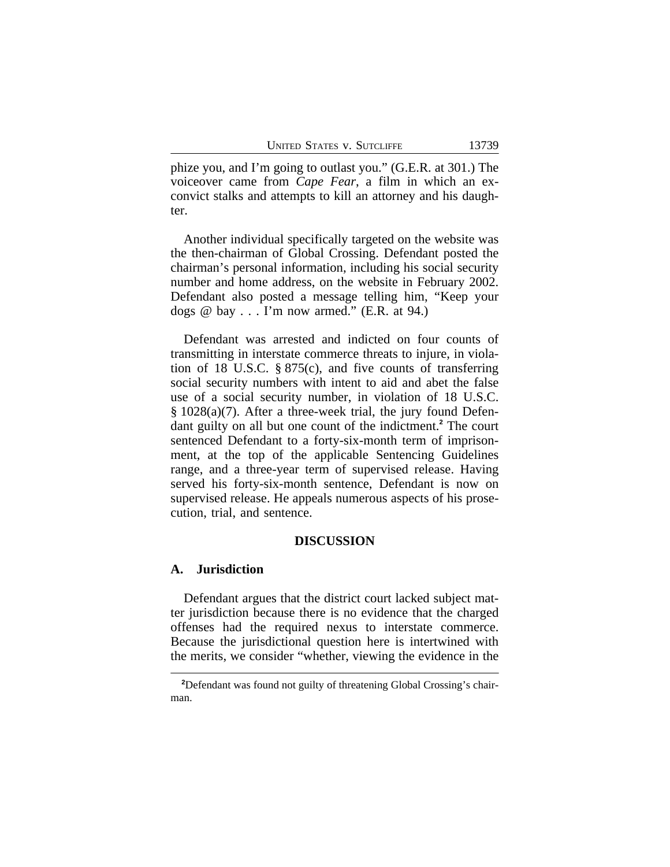phize you, and I'm going to outlast you." (G.E.R. at 301.) The voiceover came from *Cape Fear*, a film in which an exconvict stalks and attempts to kill an attorney and his daughter.

Another individual specifically targeted on the website was the then-chairman of Global Crossing. Defendant posted the chairman's personal information, including his social security number and home address, on the website in February 2002. Defendant also posted a message telling him, "Keep your dogs  $@$  bay  $\ldots$  I'm now armed." (E.R. at 94.)

Defendant was arrested and indicted on four counts of transmitting in interstate commerce threats to injure, in violation of 18 U.S.C. § 875(c), and five counts of transferring social security numbers with intent to aid and abet the false use of a social security number, in violation of 18 U.S.C. § 1028(a)(7). After a three-week trial, the jury found Defendant guilty on all but one count of the indictment.**<sup>2</sup>** The court sentenced Defendant to a forty-six-month term of imprisonment, at the top of the applicable Sentencing Guidelines range, and a three-year term of supervised release. Having served his forty-six-month sentence, Defendant is now on supervised release. He appeals numerous aspects of his prosecution, trial, and sentence.

## **DISCUSSION**

#### **A. Jurisdiction**

Defendant argues that the district court lacked subject matter jurisdiction because there is no evidence that the charged offenses had the required nexus to interstate commerce. Because the jurisdictional question here is intertwined with the merits, we consider "whether, viewing the evidence in the

<sup>&</sup>lt;sup>2</sup>Defendant was found not guilty of threatening Global Crossing's chairman.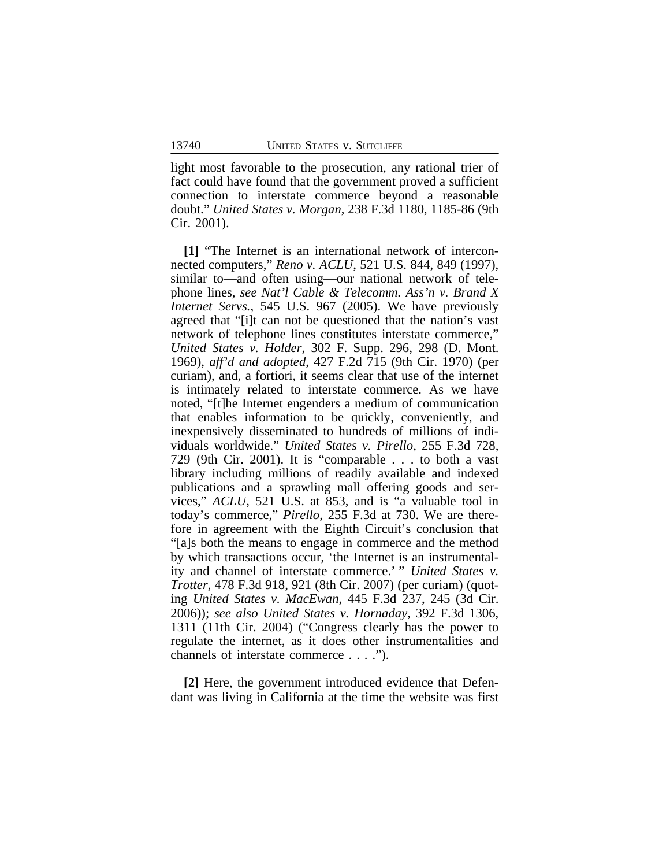light most favorable to the prosecution, any rational trier of fact could have found that the government proved a sufficient connection to interstate commerce beyond a reasonable doubt." *United States v. Morgan*, 238 F.3d 1180, 1185-86 (9th Cir. 2001).

**[1]** "The Internet is an international network of interconnected computers," *Reno v. ACLU*, 521 U.S. 844, 849 (1997), similar to—and often using—our national network of telephone lines, *see Nat'l Cable & Telecomm. Ass'n v. Brand X Internet Servs.*, 545 U.S. 967 (2005). We have previously agreed that "[i]t can not be questioned that the nation's vast network of telephone lines constitutes interstate commerce," *United States v. Holder*, 302 F. Supp. 296, 298 (D. Mont. 1969), *aff'd and adopted*, 427 F.2d 715 (9th Cir. 1970) (per curiam), and, a fortiori, it seems clear that use of the internet is intimately related to interstate commerce. As we have noted, "[t]he Internet engenders a medium of communication that enables information to be quickly, conveniently, and inexpensively disseminated to hundreds of millions of individuals worldwide." *United States v. Pirello*, 255 F.3d 728, 729 (9th Cir. 2001). It is "comparable . . . to both a vast library including millions of readily available and indexed publications and a sprawling mall offering goods and services," *ACLU*, 521 U.S. at 853, and is "a valuable tool in today's commerce," *Pirello*, 255 F.3d at 730. We are therefore in agreement with the Eighth Circuit's conclusion that "[a]s both the means to engage in commerce and the method by which transactions occur, 'the Internet is an instrumentality and channel of interstate commerce.' " *United States v. Trotter*, 478 F.3d 918, 921 (8th Cir. 2007) (per curiam) (quoting *United States v. MacEwan*, 445 F.3d 237, 245 (3d Cir. 2006)); *see also United States v. Hornaday*, 392 F.3d 1306, 1311 (11th Cir. 2004) ("Congress clearly has the power to regulate the internet, as it does other instrumentalities and channels of interstate commerce . . . .").

**[2]** Here, the government introduced evidence that Defendant was living in California at the time the website was first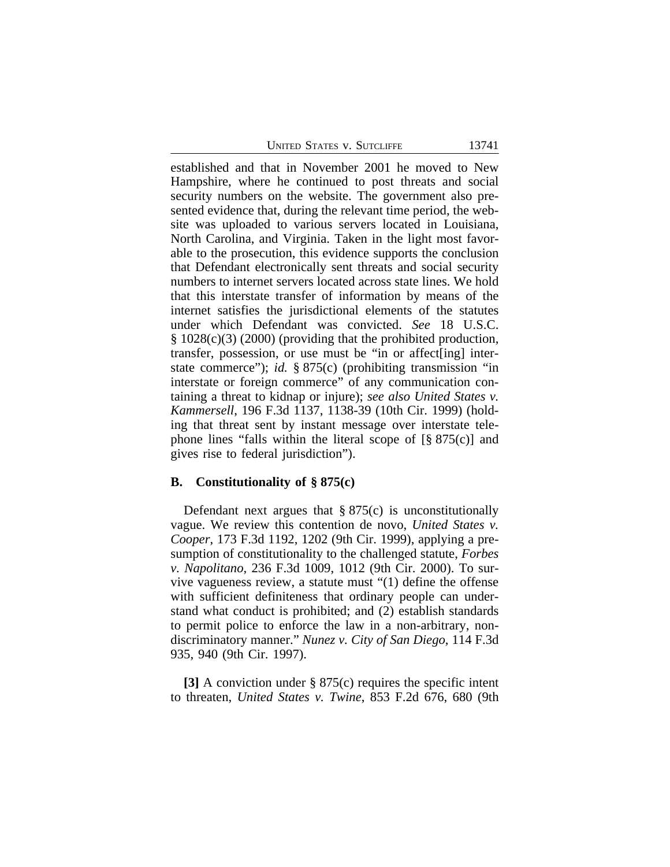|  |  |  | <b>UNITED STATES V. SUTCLIFFE</b> |
|--|--|--|-----------------------------------|
|--|--|--|-----------------------------------|

established and that in November 2001 he moved to New Hampshire, where he continued to post threats and social security numbers on the website. The government also presented evidence that, during the relevant time period, the website was uploaded to various servers located in Louisiana, North Carolina, and Virginia. Taken in the light most favorable to the prosecution, this evidence supports the conclusion that Defendant electronically sent threats and social security numbers to internet servers located across state lines. We hold that this interstate transfer of information by means of the internet satisfies the jurisdictional elements of the statutes under which Defendant was convicted. *See* 18 U.S.C. § 1028(c)(3) (2000) (providing that the prohibited production, transfer, possession, or use must be "in or affect[ing] interstate commerce"); *id.* § 875(c) (prohibiting transmission "in interstate or foreign commerce" of any communication containing a threat to kidnap or injure); *see also United States v. Kammersell*, 196 F.3d 1137, 1138-39 (10th Cir. 1999) (holding that threat sent by instant message over interstate telephone lines "falls within the literal scope of  $\lceil \frac{8}{5} \rceil 875(c) \rceil$  and gives rise to federal jurisdiction").

#### **B. Constitutionality of § 875(c)**

Defendant next argues that  $\S 875(c)$  is unconstitutionally vague. We review this contention de novo, *United States v. Cooper*, 173 F.3d 1192, 1202 (9th Cir. 1999), applying a presumption of constitutionality to the challenged statute, *Forbes v. Napolitano*, 236 F.3d 1009, 1012 (9th Cir. 2000). To survive vagueness review, a statute must "(1) define the offense with sufficient definiteness that ordinary people can understand what conduct is prohibited; and (2) establish standards to permit police to enforce the law in a non-arbitrary, nondiscriminatory manner." *Nunez v. City of San Diego*, 114 F.3d 935, 940 (9th Cir. 1997).

**[3]** A conviction under § 875(c) requires the specific intent to threaten, *United States v. Twine*, 853 F.2d 676, 680 (9th

13741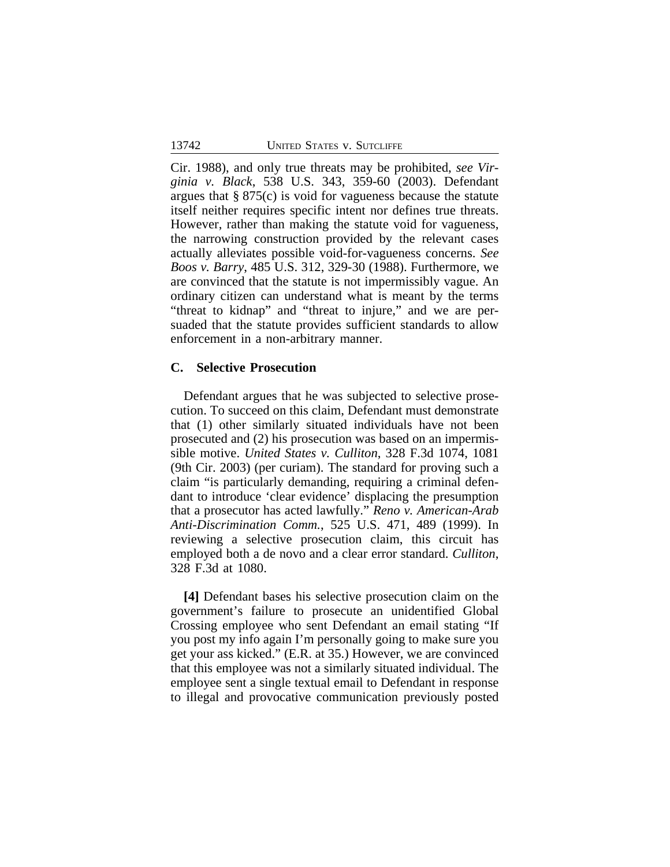Cir. 1988), and only true threats may be prohibited, *see Virginia v. Black*, 538 U.S. 343, 359-60 (2003). Defendant argues that § 875(c) is void for vagueness because the statute itself neither requires specific intent nor defines true threats. However, rather than making the statute void for vagueness, the narrowing construction provided by the relevant cases actually alleviates possible void-for-vagueness concerns. *See Boos v. Barry*, 485 U.S. 312, 329-30 (1988). Furthermore, we are convinced that the statute is not impermissibly vague. An ordinary citizen can understand what is meant by the terms "threat to kidnap" and "threat to injure," and we are persuaded that the statute provides sufficient standards to allow enforcement in a non-arbitrary manner.

## **C. Selective Prosecution**

Defendant argues that he was subjected to selective prosecution. To succeed on this claim, Defendant must demonstrate that (1) other similarly situated individuals have not been prosecuted and (2) his prosecution was based on an impermissible motive. *United States v. Culliton*, 328 F.3d 1074, 1081 (9th Cir. 2003) (per curiam). The standard for proving such a claim "is particularly demanding, requiring a criminal defendant to introduce 'clear evidence' displacing the presumption that a prosecutor has acted lawfully." *Reno v. American-Arab Anti-Discrimination Comm.*, 525 U.S. 471, 489 (1999). In reviewing a selective prosecution claim, this circuit has employed both a de novo and a clear error standard. *Culliton*, 328 F.3d at 1080.

**[4]** Defendant bases his selective prosecution claim on the government's failure to prosecute an unidentified Global Crossing employee who sent Defendant an email stating "If you post my info again I'm personally going to make sure you get your ass kicked." (E.R. at 35.) However, we are convinced that this employee was not a similarly situated individual. The employee sent a single textual email to Defendant in response to illegal and provocative communication previously posted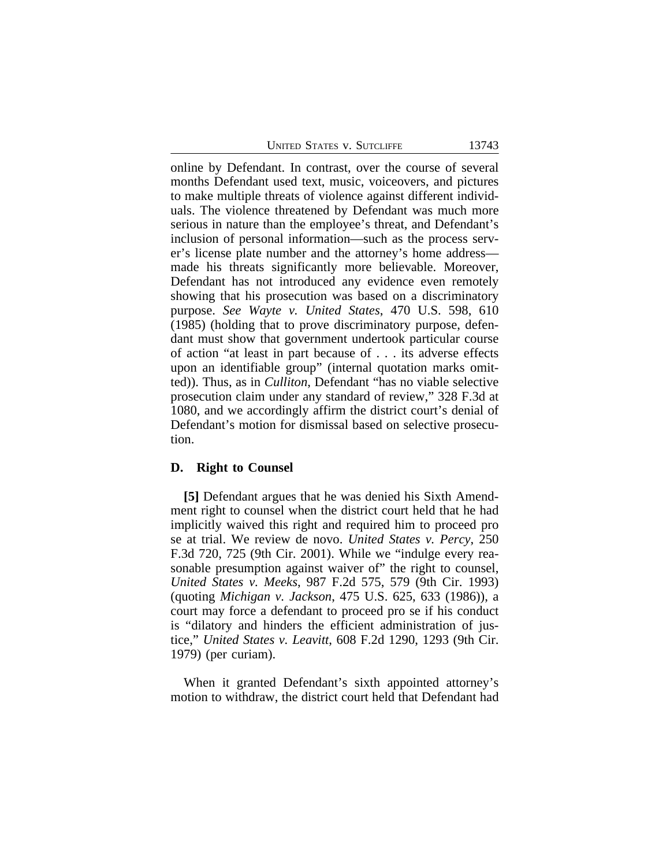online by Defendant. In contrast, over the course of several months Defendant used text, music, voiceovers, and pictures to make multiple threats of violence against different individuals. The violence threatened by Defendant was much more serious in nature than the employee's threat, and Defendant's inclusion of personal information—such as the process server's license plate number and the attorney's home address made his threats significantly more believable. Moreover, Defendant has not introduced any evidence even remotely showing that his prosecution was based on a discriminatory purpose. *See Wayte v. United States*, 470 U.S. 598, 610 (1985) (holding that to prove discriminatory purpose, defendant must show that government undertook particular course of action "at least in part because of . . . its adverse effects upon an identifiable group" (internal quotation marks omitted)). Thus, as in *Culliton*, Defendant "has no viable selective prosecution claim under any standard of review," 328 F.3d at 1080, and we accordingly affirm the district court's denial of Defendant's motion for dismissal based on selective prosecution.

#### **D. Right to Counsel**

**[5]** Defendant argues that he was denied his Sixth Amendment right to counsel when the district court held that he had implicitly waived this right and required him to proceed pro se at trial. We review de novo. *United States v. Percy*, 250 F.3d 720, 725 (9th Cir. 2001). While we "indulge every reasonable presumption against waiver of" the right to counsel, *United States v. Meeks*, 987 F.2d 575, 579 (9th Cir. 1993) (quoting *Michigan v. Jackson*, 475 U.S. 625, 633 (1986)), a court may force a defendant to proceed pro se if his conduct is "dilatory and hinders the efficient administration of justice," *United States v. Leavitt*, 608 F.2d 1290, 1293 (9th Cir. 1979) (per curiam).

When it granted Defendant's sixth appointed attorney's motion to withdraw, the district court held that Defendant had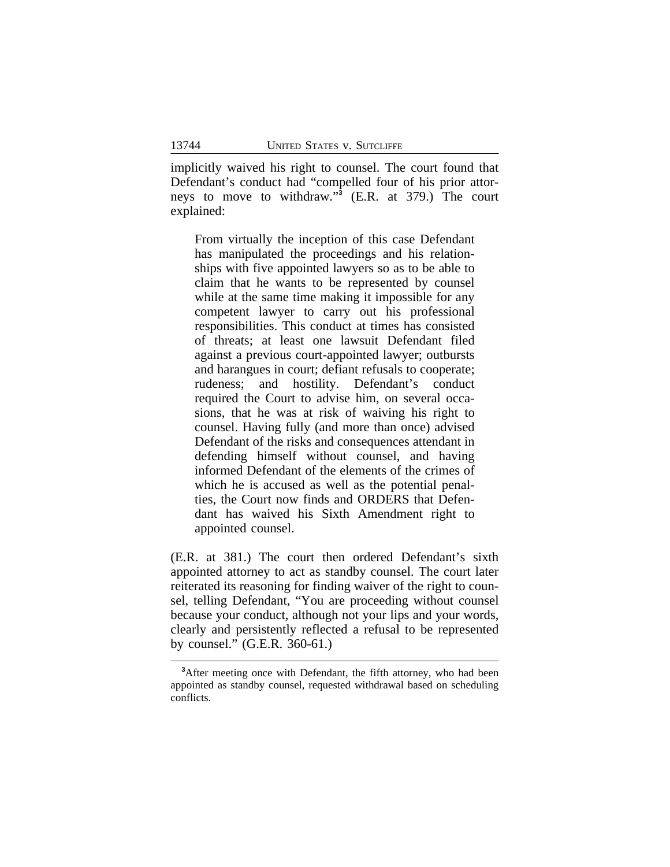implicitly waived his right to counsel. The court found that Defendant's conduct had "compelled four of his prior attorneys to move to withdraw." **3** (E.R. at 379.) The court explained:

From virtually the inception of this case Defendant has manipulated the proceedings and his relationships with five appointed lawyers so as to be able to claim that he wants to be represented by counsel while at the same time making it impossible for any competent lawyer to carry out his professional responsibilities. This conduct at times has consisted of threats; at least one lawsuit Defendant filed against a previous court-appointed lawyer; outbursts and harangues in court; defiant refusals to cooperate; rudeness; and hostility. Defendant's conduct required the Court to advise him, on several occasions, that he was at risk of waiving his right to counsel. Having fully (and more than once) advised Defendant of the risks and consequences attendant in defending himself without counsel, and having informed Defendant of the elements of the crimes of which he is accused as well as the potential penalties, the Court now finds and ORDERS that Defendant has waived his Sixth Amendment right to appointed counsel.

(E.R. at 381.) The court then ordered Defendant's sixth appointed attorney to act as standby counsel. The court later reiterated its reasoning for finding waiver of the right to counsel, telling Defendant, "You are proceeding without counsel because your conduct, although not your lips and your words, clearly and persistently reflected a refusal to be represented by counsel." (G.E.R. 360-61.)

<sup>&</sup>lt;sup>3</sup>After meeting once with Defendant, the fifth attorney, who had been appointed as standby counsel, requested withdrawal based on scheduling conflicts.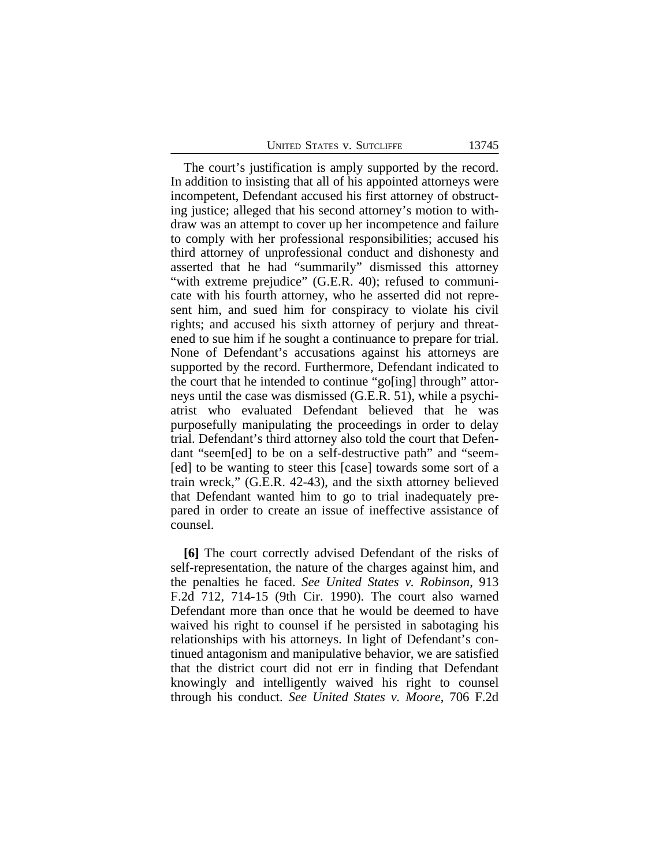| <b>UNITED STATES V. SUTCLIFFE</b> |  |  |  |  |
|-----------------------------------|--|--|--|--|
|-----------------------------------|--|--|--|--|

The court's justification is amply supported by the record. In addition to insisting that all of his appointed attorneys were incompetent, Defendant accused his first attorney of obstructing justice; alleged that his second attorney's motion to withdraw was an attempt to cover up her incompetence and failure to comply with her professional responsibilities; accused his third attorney of unprofessional conduct and dishonesty and asserted that he had "summarily" dismissed this attorney "with extreme prejudice" (G.E.R. 40); refused to communicate with his fourth attorney, who he asserted did not represent him, and sued him for conspiracy to violate his civil rights; and accused his sixth attorney of perjury and threatened to sue him if he sought a continuance to prepare for trial. None of Defendant's accusations against his attorneys are supported by the record. Furthermore, Defendant indicated to the court that he intended to continue "go[ing] through" attorneys until the case was dismissed (G.E.R. 51), while a psychiatrist who evaluated Defendant believed that he was purposefully manipulating the proceedings in order to delay trial. Defendant's third attorney also told the court that Defendant "seem[ed] to be on a self-destructive path" and "seem- [ed] to be wanting to steer this [case] towards some sort of a train wreck," (G.E.R. 42-43), and the sixth attorney believed that Defendant wanted him to go to trial inadequately prepared in order to create an issue of ineffective assistance of counsel.

**[6]** The court correctly advised Defendant of the risks of self-representation, the nature of the charges against him, and the penalties he faced. *See United States v. Robinson*, 913 F.2d 712, 714-15 (9th Cir. 1990). The court also warned Defendant more than once that he would be deemed to have waived his right to counsel if he persisted in sabotaging his relationships with his attorneys. In light of Defendant's continued antagonism and manipulative behavior, we are satisfied that the district court did not err in finding that Defendant knowingly and intelligently waived his right to counsel through his conduct. *See United States v. Moore*, 706 F.2d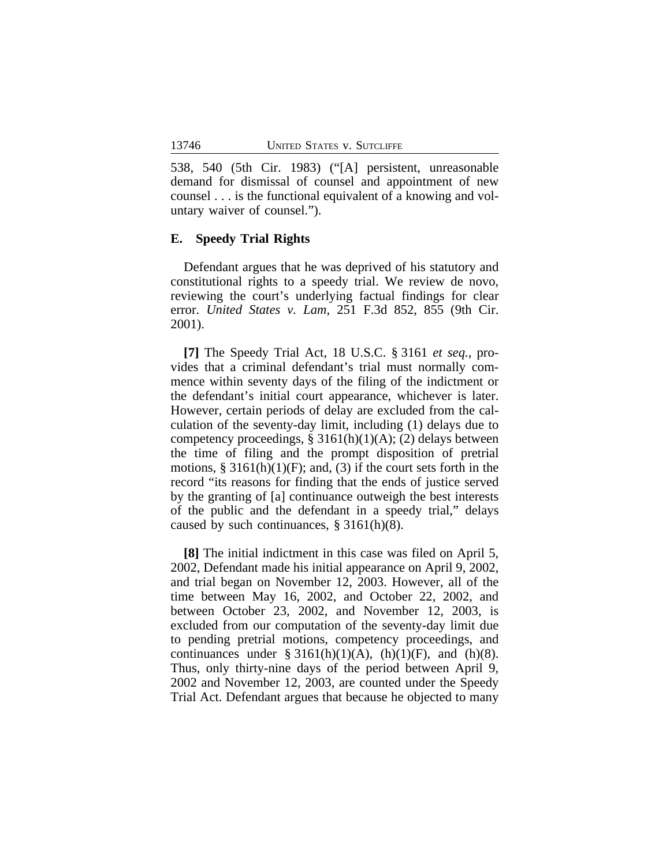538, 540 (5th Cir. 1983) ("[A] persistent, unreasonable demand for dismissal of counsel and appointment of new counsel . . . is the functional equivalent of a knowing and voluntary waiver of counsel.").

#### **E. Speedy Trial Rights**

Defendant argues that he was deprived of his statutory and constitutional rights to a speedy trial. We review de novo, reviewing the court's underlying factual findings for clear error. *United States v. Lam*, 251 F.3d 852, 855 (9th Cir. 2001).

**[7]** The Speedy Trial Act, 18 U.S.C. § 3161 *et seq.*, provides that a criminal defendant's trial must normally commence within seventy days of the filing of the indictment or the defendant's initial court appearance, whichever is later. However, certain periods of delay are excluded from the calculation of the seventy-day limit, including (1) delays due to competency proceedings,  $\S 3161(h)(1)(A)$ ; (2) delays between the time of filing and the prompt disposition of pretrial motions,  $\S 3161(h)(1)(F)$ ; and, (3) if the court sets forth in the record "its reasons for finding that the ends of justice served by the granting of [a] continuance outweigh the best interests of the public and the defendant in a speedy trial," delays caused by such continuances, § 3161(h)(8).

**[8]** The initial indictment in this case was filed on April 5, 2002, Defendant made his initial appearance on April 9, 2002, and trial began on November 12, 2003. However, all of the time between May 16, 2002, and October 22, 2002, and between October 23, 2002, and November 12, 2003, is excluded from our computation of the seventy-day limit due to pending pretrial motions, competency proceedings, and continuances under § 3161(h)(1)(A), (h)(1)(F), and (h)(8). Thus, only thirty-nine days of the period between April 9, 2002 and November 12, 2003, are counted under the Speedy Trial Act. Defendant argues that because he objected to many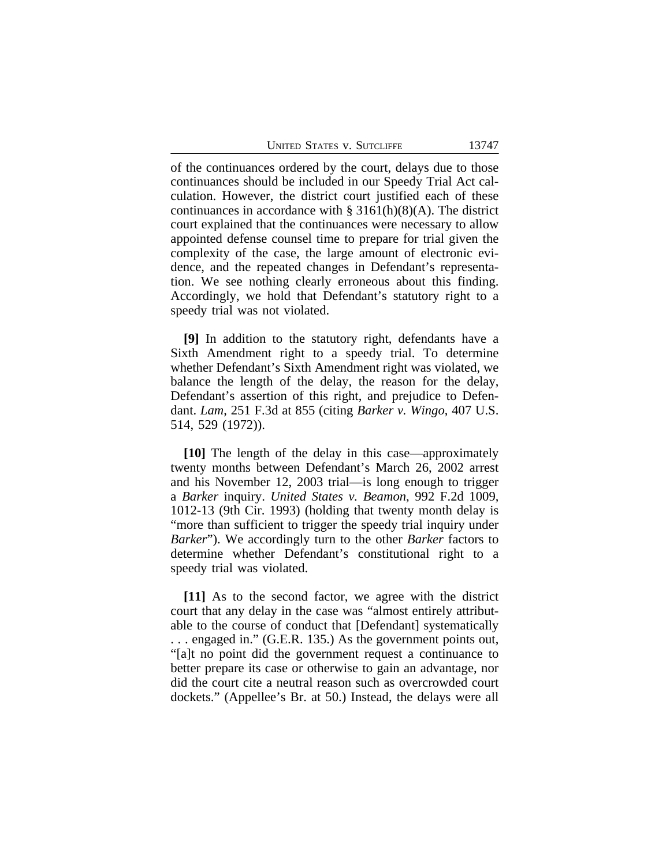UNITED STATES V. SUTCLIFFE 13747

of the continuances ordered by the court, delays due to those continuances should be included in our Speedy Trial Act calculation. However, the district court justified each of these continuances in accordance with  $\S 3161(h)(8)(A)$ . The district court explained that the continuances were necessary to allow appointed defense counsel time to prepare for trial given the complexity of the case, the large amount of electronic evidence, and the repeated changes in Defendant's representation. We see nothing clearly erroneous about this finding. Accordingly, we hold that Defendant's statutory right to a speedy trial was not violated.

**[9]** In addition to the statutory right, defendants have a Sixth Amendment right to a speedy trial. To determine whether Defendant's Sixth Amendment right was violated, we balance the length of the delay, the reason for the delay, Defendant's assertion of this right, and prejudice to Defendant. *Lam*, 251 F.3d at 855 (citing *Barker v. Wingo*, 407 U.S. 514, 529 (1972)).

**[10]** The length of the delay in this case—approximately twenty months between Defendant's March 26, 2002 arrest and his November 12, 2003 trial—is long enough to trigger a *Barker* inquiry. *United States v. Beamon*, 992 F.2d 1009, 1012-13 (9th Cir. 1993) (holding that twenty month delay is "more than sufficient to trigger the speedy trial inquiry under *Barker*"). We accordingly turn to the other *Barker* factors to determine whether Defendant's constitutional right to a speedy trial was violated.

**[11]** As to the second factor, we agree with the district court that any delay in the case was "almost entirely attributable to the course of conduct that [Defendant] systematically . . . engaged in." (G.E.R. 135.) As the government points out, "[a]t no point did the government request a continuance to better prepare its case or otherwise to gain an advantage, nor did the court cite a neutral reason such as overcrowded court dockets." (Appellee's Br. at 50.) Instead, the delays were all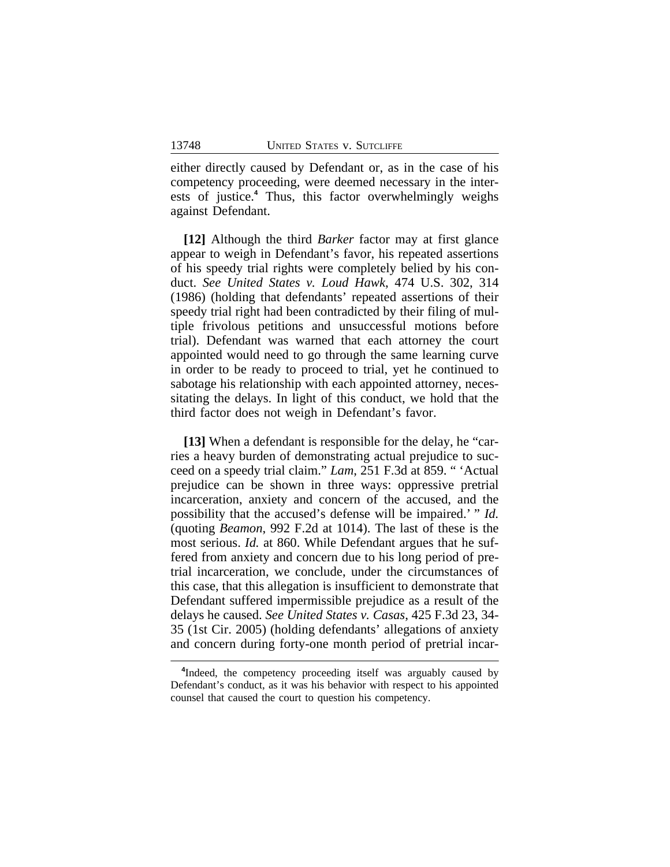either directly caused by Defendant or, as in the case of his competency proceeding, were deemed necessary in the interests of justice.**<sup>4</sup>** Thus, this factor overwhelmingly weighs against Defendant.

**[12]** Although the third *Barker* factor may at first glance appear to weigh in Defendant's favor, his repeated assertions of his speedy trial rights were completely belied by his conduct. *See United States v. Loud Hawk*, 474 U.S. 302, 314 (1986) (holding that defendants' repeated assertions of their speedy trial right had been contradicted by their filing of multiple frivolous petitions and unsuccessful motions before trial). Defendant was warned that each attorney the court appointed would need to go through the same learning curve in order to be ready to proceed to trial, yet he continued to sabotage his relationship with each appointed attorney, necessitating the delays. In light of this conduct, we hold that the third factor does not weigh in Defendant's favor.

**[13]** When a defendant is responsible for the delay, he "carries a heavy burden of demonstrating actual prejudice to succeed on a speedy trial claim." *Lam*, 251 F.3d at 859. " 'Actual prejudice can be shown in three ways: oppressive pretrial incarceration, anxiety and concern of the accused, and the possibility that the accused's defense will be impaired.' " *Id.* (quoting *Beamon*, 992 F.2d at 1014). The last of these is the most serious. *Id.* at 860. While Defendant argues that he suffered from anxiety and concern due to his long period of pretrial incarceration, we conclude, under the circumstances of this case, that this allegation is insufficient to demonstrate that Defendant suffered impermissible prejudice as a result of the delays he caused. *See United States v. Casas*, 425 F.3d 23, 34- 35 (1st Cir. 2005) (holding defendants' allegations of anxiety and concern during forty-one month period of pretrial incar-

<sup>&</sup>lt;sup>4</sup>Indeed, the competency proceeding itself was arguably caused by Defendant's conduct, as it was his behavior with respect to his appointed counsel that caused the court to question his competency.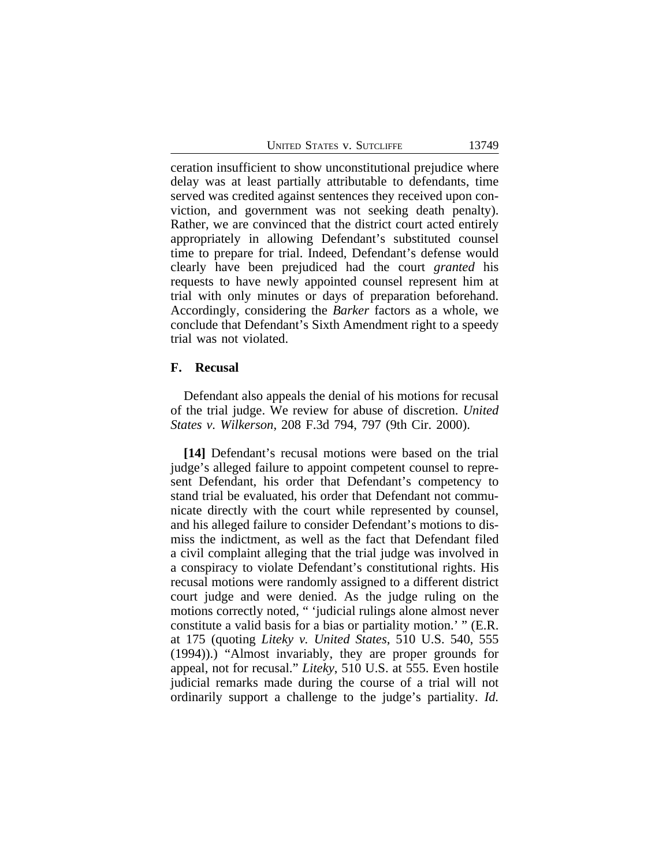|  | <b>UNITED STATES V. SUTCLIFFE</b> |
|--|-----------------------------------|
|  |                                   |

ceration insufficient to show unconstitutional prejudice where delay was at least partially attributable to defendants, time served was credited against sentences they received upon conviction, and government was not seeking death penalty). Rather, we are convinced that the district court acted entirely appropriately in allowing Defendant's substituted counsel time to prepare for trial. Indeed, Defendant's defense would clearly have been prejudiced had the court *granted* his requests to have newly appointed counsel represent him at trial with only minutes or days of preparation beforehand. Accordingly, considering the *Barker* factors as a whole, we conclude that Defendant's Sixth Amendment right to a speedy trial was not violated.

### **F. Recusal**

Defendant also appeals the denial of his motions for recusal of the trial judge. We review for abuse of discretion. *United States v. Wilkerson*, 208 F.3d 794, 797 (9th Cir. 2000).

**[14]** Defendant's recusal motions were based on the trial judge's alleged failure to appoint competent counsel to represent Defendant, his order that Defendant's competency to stand trial be evaluated, his order that Defendant not communicate directly with the court while represented by counsel, and his alleged failure to consider Defendant's motions to dismiss the indictment, as well as the fact that Defendant filed a civil complaint alleging that the trial judge was involved in a conspiracy to violate Defendant's constitutional rights. His recusal motions were randomly assigned to a different district court judge and were denied. As the judge ruling on the motions correctly noted, " 'judicial rulings alone almost never constitute a valid basis for a bias or partiality motion.' " (E.R. at 175 (quoting *Liteky v. United States*, 510 U.S. 540, 555 (1994)).) "Almost invariably, they are proper grounds for appeal, not for recusal." *Liteky*, 510 U.S. at 555. Even hostile judicial remarks made during the course of a trial will not ordinarily support a challenge to the judge's partiality. *Id.*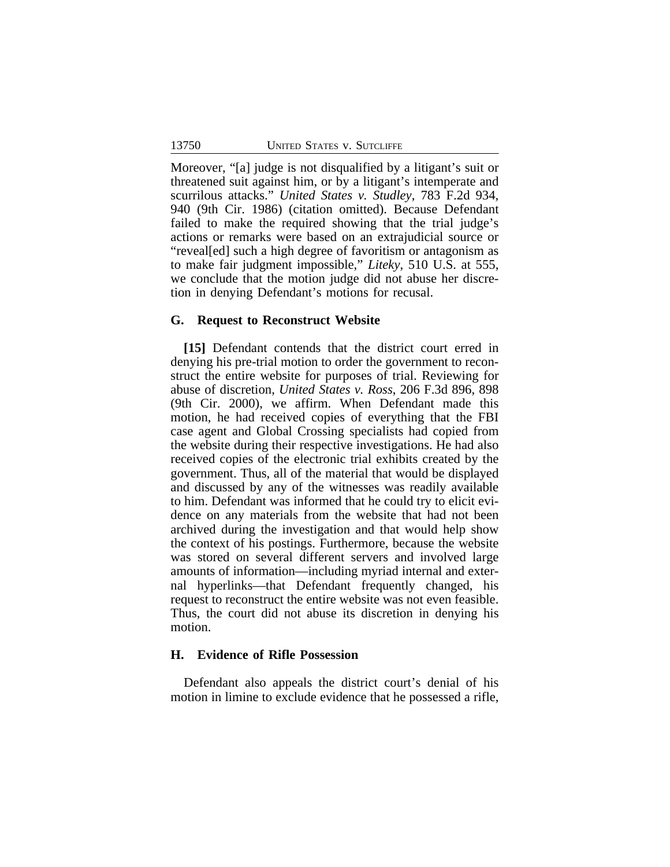Moreover, "[a] judge is not disqualified by a litigant's suit or threatened suit against him, or by a litigant's intemperate and scurrilous attacks." *United States v. Studley*, 783 F.2d 934, 940 (9th Cir. 1986) (citation omitted). Because Defendant failed to make the required showing that the trial judge's actions or remarks were based on an extrajudicial source or "reveal[ed] such a high degree of favoritism or antagonism as to make fair judgment impossible," *Liteky*, 510 U.S. at 555, we conclude that the motion judge did not abuse her discretion in denying Defendant's motions for recusal.

#### **G. Request to Reconstruct Website**

**[15]** Defendant contends that the district court erred in denying his pre-trial motion to order the government to reconstruct the entire website for purposes of trial. Reviewing for abuse of discretion, *United States v. Ross*, 206 F.3d 896, 898 (9th Cir. 2000), we affirm. When Defendant made this motion, he had received copies of everything that the FBI case agent and Global Crossing specialists had copied from the website during their respective investigations. He had also received copies of the electronic trial exhibits created by the government. Thus, all of the material that would be displayed and discussed by any of the witnesses was readily available to him. Defendant was informed that he could try to elicit evidence on any materials from the website that had not been archived during the investigation and that would help show the context of his postings. Furthermore, because the website was stored on several different servers and involved large amounts of information—including myriad internal and external hyperlinks—that Defendant frequently changed, his request to reconstruct the entire website was not even feasible. Thus, the court did not abuse its discretion in denying his motion.

#### **H. Evidence of Rifle Possession**

Defendant also appeals the district court's denial of his motion in limine to exclude evidence that he possessed a rifle,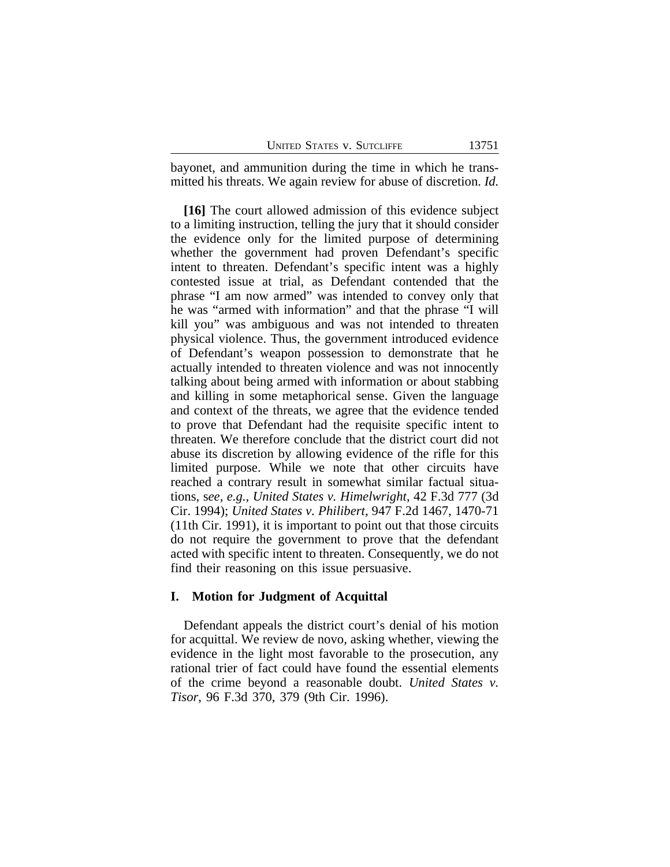| <b>UNITED STATES V. SUTCLIFFE</b> |  |  |  |  |
|-----------------------------------|--|--|--|--|
|-----------------------------------|--|--|--|--|

bayonet, and ammunition during the time in which he transmitted his threats. We again review for abuse of discretion. *Id.*

**[16]** The court allowed admission of this evidence subject to a limiting instruction, telling the jury that it should consider the evidence only for the limited purpose of determining whether the government had proven Defendant's specific intent to threaten. Defendant's specific intent was a highly contested issue at trial, as Defendant contended that the phrase "I am now armed" was intended to convey only that he was "armed with information" and that the phrase "I will kill you" was ambiguous and was not intended to threaten physical violence. Thus, the government introduced evidence of Defendant's weapon possession to demonstrate that he actually intended to threaten violence and was not innocently talking about being armed with information or about stabbing and killing in some metaphorical sense. Given the language and context of the threats, we agree that the evidence tended to prove that Defendant had the requisite specific intent to threaten. We therefore conclude that the district court did not abuse its discretion by allowing evidence of the rifle for this limited purpose. While we note that other circuits have reached a contrary result in somewhat similar factual situations, s*ee, e.g., United States v. Himelwright*, 42 F.3d 777 (3d Cir. 1994); *United States v. Philibert*, 947 F.2d 1467, 1470-71 (11th Cir. 1991), it is important to point out that those circuits do not require the government to prove that the defendant acted with specific intent to threaten. Consequently, we do not find their reasoning on this issue persuasive.

### **I. Motion for Judgment of Acquittal**

Defendant appeals the district court's denial of his motion for acquittal. We review de novo, asking whether, viewing the evidence in the light most favorable to the prosecution, any rational trier of fact could have found the essential elements of the crime beyond a reasonable doubt. *United States v. Tisor*, 96 F.3d 370, 379 (9th Cir. 1996).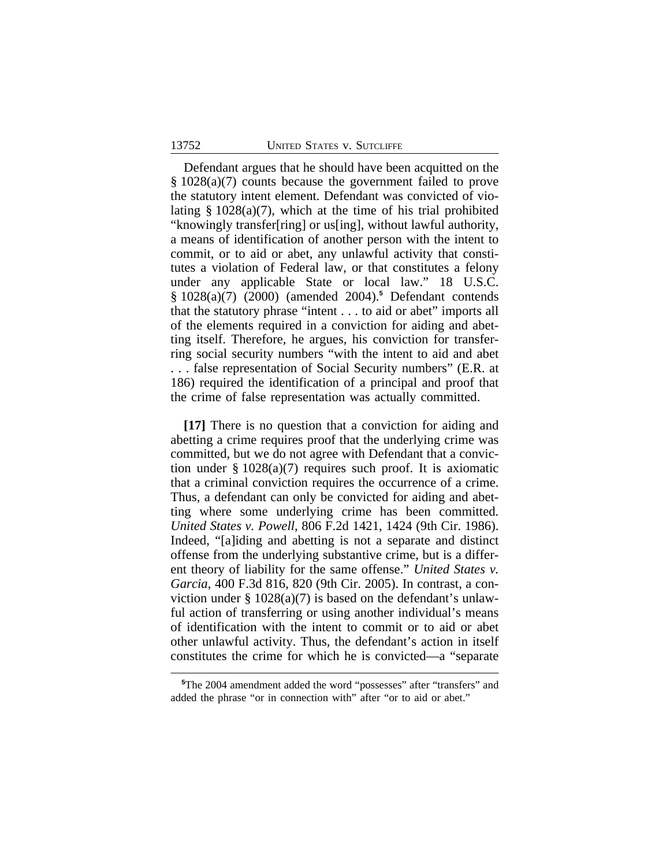Defendant argues that he should have been acquitted on the § 1028(a)(7) counts because the government failed to prove the statutory intent element. Defendant was convicted of violating  $\S$  1028(a)(7), which at the time of his trial prohibited "knowingly transfer[ring] or us[ing], without lawful authority, a means of identification of another person with the intent to commit, or to aid or abet, any unlawful activity that constitutes a violation of Federal law, or that constitutes a felony under any applicable State or local law." 18 U.S.C. § 1028(a)(7) (2000) (amended 2004).**<sup>5</sup>** Defendant contends that the statutory phrase "intent . . . to aid or abet" imports all of the elements required in a conviction for aiding and abetting itself. Therefore, he argues, his conviction for transferring social security numbers "with the intent to aid and abet . . . false representation of Social Security numbers" (E.R. at 186) required the identification of a principal and proof that the crime of false representation was actually committed.

**[17]** There is no question that a conviction for aiding and abetting a crime requires proof that the underlying crime was committed, but we do not agree with Defendant that a conviction under  $\S 1028(a)(7)$  requires such proof. It is axiomatic that a criminal conviction requires the occurrence of a crime. Thus, a defendant can only be convicted for aiding and abetting where some underlying crime has been committed. *United States v. Powell*, 806 F.2d 1421, 1424 (9th Cir. 1986). Indeed, "[a]iding and abetting is not a separate and distinct offense from the underlying substantive crime, but is a different theory of liability for the same offense." *United States v. Garcia*, 400 F.3d 816, 820 (9th Cir. 2005). In contrast, a conviction under  $\S 1028(a)(7)$  is based on the defendant's unlawful action of transferring or using another individual's means of identification with the intent to commit or to aid or abet other unlawful activity. Thus, the defendant's action in itself constitutes the crime for which he is convicted—a "separate

**<sup>5</sup>**The 2004 amendment added the word "possesses" after "transfers" and added the phrase "or in connection with" after "or to aid or abet."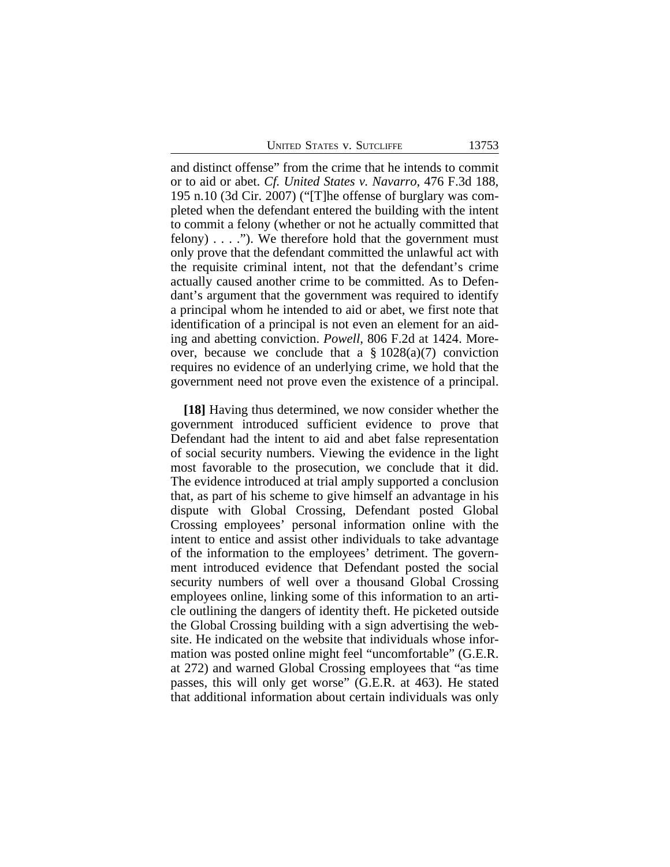UNITED STATES V. SUTCLIFFE 13753

and distinct offense" from the crime that he intends to commit or to aid or abet. *Cf. United States v. Navarro*, 476 F.3d 188, 195 n.10 (3d Cir. 2007) ("[T]he offense of burglary was completed when the defendant entered the building with the intent to commit a felony (whether or not he actually committed that felony)  $\dots$  ."). We therefore hold that the government must only prove that the defendant committed the unlawful act with the requisite criminal intent, not that the defendant's crime actually caused another crime to be committed. As to Defendant's argument that the government was required to identify a principal whom he intended to aid or abet, we first note that identification of a principal is not even an element for an aiding and abetting conviction. *Powell*, 806 F.2d at 1424. Moreover, because we conclude that a  $\S 1028(a)(7)$  conviction requires no evidence of an underlying crime, we hold that the government need not prove even the existence of a principal.

**[18]** Having thus determined, we now consider whether the government introduced sufficient evidence to prove that Defendant had the intent to aid and abet false representation of social security numbers. Viewing the evidence in the light most favorable to the prosecution, we conclude that it did. The evidence introduced at trial amply supported a conclusion that, as part of his scheme to give himself an advantage in his dispute with Global Crossing, Defendant posted Global Crossing employees' personal information online with the intent to entice and assist other individuals to take advantage of the information to the employees' detriment. The government introduced evidence that Defendant posted the social security numbers of well over a thousand Global Crossing employees online, linking some of this information to an article outlining the dangers of identity theft. He picketed outside the Global Crossing building with a sign advertising the website. He indicated on the website that individuals whose information was posted online might feel "uncomfortable" (G.E.R. at 272) and warned Global Crossing employees that "as time passes, this will only get worse" (G.E.R. at 463). He stated that additional information about certain individuals was only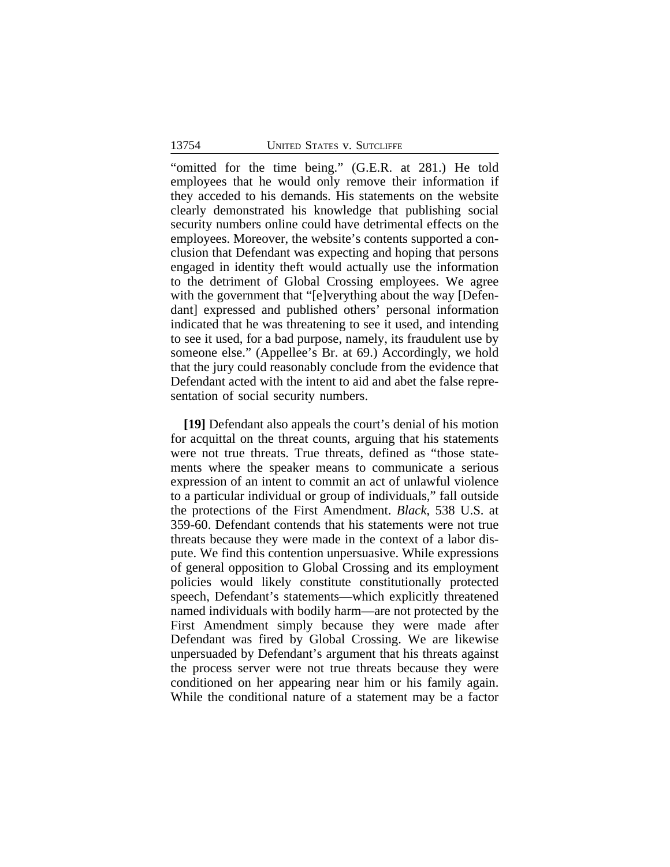"omitted for the time being." (G.E.R. at 281.) He told employees that he would only remove their information if they acceded to his demands. His statements on the website clearly demonstrated his knowledge that publishing social security numbers online could have detrimental effects on the employees. Moreover, the website's contents supported a conclusion that Defendant was expecting and hoping that persons engaged in identity theft would actually use the information to the detriment of Global Crossing employees. We agree with the government that "[e]verything about the way [Defendant] expressed and published others' personal information indicated that he was threatening to see it used, and intending to see it used, for a bad purpose, namely, its fraudulent use by someone else." (Appellee's Br. at 69.) Accordingly, we hold that the jury could reasonably conclude from the evidence that Defendant acted with the intent to aid and abet the false representation of social security numbers.

**[19]** Defendant also appeals the court's denial of his motion for acquittal on the threat counts, arguing that his statements were not true threats. True threats, defined as "those statements where the speaker means to communicate a serious expression of an intent to commit an act of unlawful violence to a particular individual or group of individuals," fall outside the protections of the First Amendment. *Black*, 538 U.S. at 359-60. Defendant contends that his statements were not true threats because they were made in the context of a labor dispute. We find this contention unpersuasive. While expressions of general opposition to Global Crossing and its employment policies would likely constitute constitutionally protected speech, Defendant's statements—which explicitly threatened named individuals with bodily harm—are not protected by the First Amendment simply because they were made after Defendant was fired by Global Crossing. We are likewise unpersuaded by Defendant's argument that his threats against the process server were not true threats because they were conditioned on her appearing near him or his family again. While the conditional nature of a statement may be a factor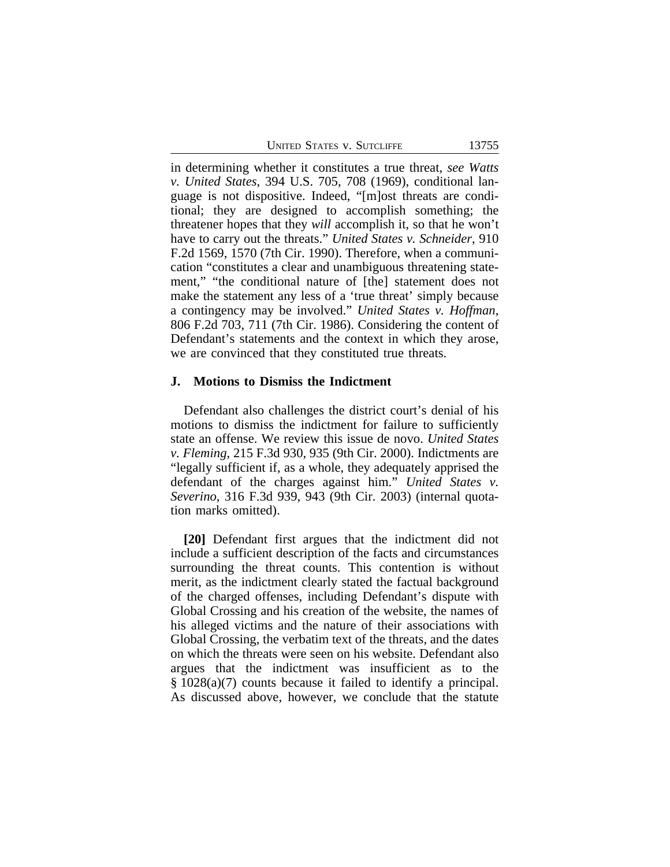|  |  |  | UNITED STATES V. SUTCLIFFE |
|--|--|--|----------------------------|
|--|--|--|----------------------------|

in determining whether it constitutes a true threat, *see Watts v. United States*, 394 U.S. 705, 708 (1969), conditional language is not dispositive. Indeed, "[m]ost threats are conditional; they are designed to accomplish something; the threatener hopes that they *will* accomplish it, so that he won't have to carry out the threats." *United States v. Schneider*, 910 F.2d 1569, 1570 (7th Cir. 1990). Therefore, when a communication "constitutes a clear and unambiguous threatening statement," "the conditional nature of [the] statement does not make the statement any less of a 'true threat' simply because a contingency may be involved." *United States v. Hoffman*, 806 F.2d 703, 711 (7th Cir. 1986). Considering the content of Defendant's statements and the context in which they arose, we are convinced that they constituted true threats.

#### **J. Motions to Dismiss the Indictment**

Defendant also challenges the district court's denial of his motions to dismiss the indictment for failure to sufficiently state an offense. We review this issue de novo. *United States v. Fleming*, 215 F.3d 930, 935 (9th Cir. 2000). Indictments are "legally sufficient if, as a whole, they adequately apprised the defendant of the charges against him." *United States v. Severino*, 316 F.3d 939, 943 (9th Cir. 2003) (internal quotation marks omitted).

**[20]** Defendant first argues that the indictment did not include a sufficient description of the facts and circumstances surrounding the threat counts. This contention is without merit, as the indictment clearly stated the factual background of the charged offenses, including Defendant's dispute with Global Crossing and his creation of the website, the names of his alleged victims and the nature of their associations with Global Crossing, the verbatim text of the threats, and the dates on which the threats were seen on his website. Defendant also argues that the indictment was insufficient as to the § 1028(a)(7) counts because it failed to identify a principal. As discussed above, however, we conclude that the statute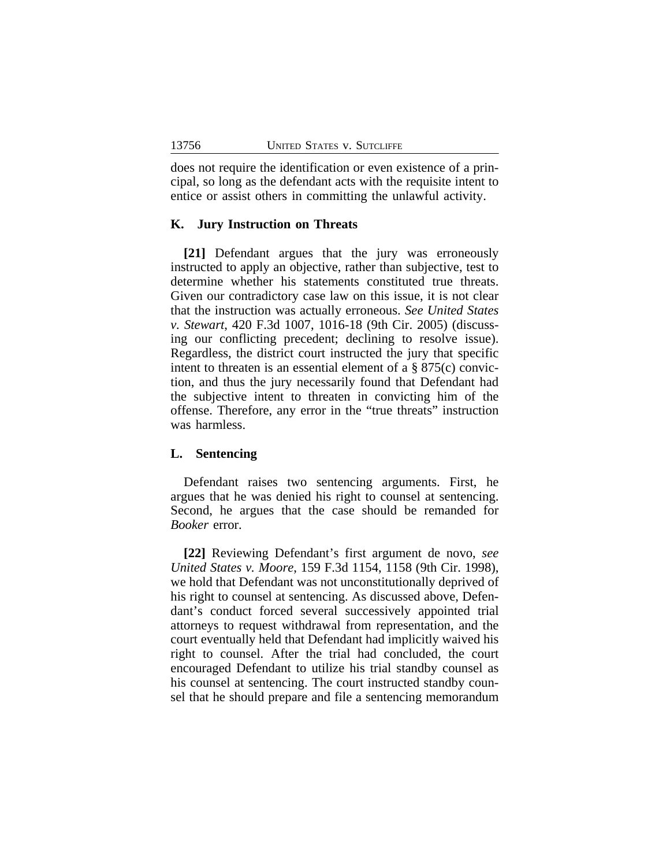does not require the identification or even existence of a principal, so long as the defendant acts with the requisite intent to entice or assist others in committing the unlawful activity.

#### **K. Jury Instruction on Threats**

**[21]** Defendant argues that the jury was erroneously instructed to apply an objective, rather than subjective, test to determine whether his statements constituted true threats. Given our contradictory case law on this issue, it is not clear that the instruction was actually erroneous. *See United States v. Stewart*, 420 F.3d 1007, 1016-18 (9th Cir. 2005) (discussing our conflicting precedent; declining to resolve issue). Regardless, the district court instructed the jury that specific intent to threaten is an essential element of a § 875(c) conviction, and thus the jury necessarily found that Defendant had the subjective intent to threaten in convicting him of the offense. Therefore, any error in the "true threats" instruction was harmless.

#### **L. Sentencing**

Defendant raises two sentencing arguments. First, he argues that he was denied his right to counsel at sentencing. Second, he argues that the case should be remanded for *Booker* error.

**[22]** Reviewing Defendant's first argument de novo, *see United States v. Moore*, 159 F.3d 1154, 1158 (9th Cir. 1998), we hold that Defendant was not unconstitutionally deprived of his right to counsel at sentencing. As discussed above, Defendant's conduct forced several successively appointed trial attorneys to request withdrawal from representation, and the court eventually held that Defendant had implicitly waived his right to counsel. After the trial had concluded, the court encouraged Defendant to utilize his trial standby counsel as his counsel at sentencing. The court instructed standby counsel that he should prepare and file a sentencing memorandum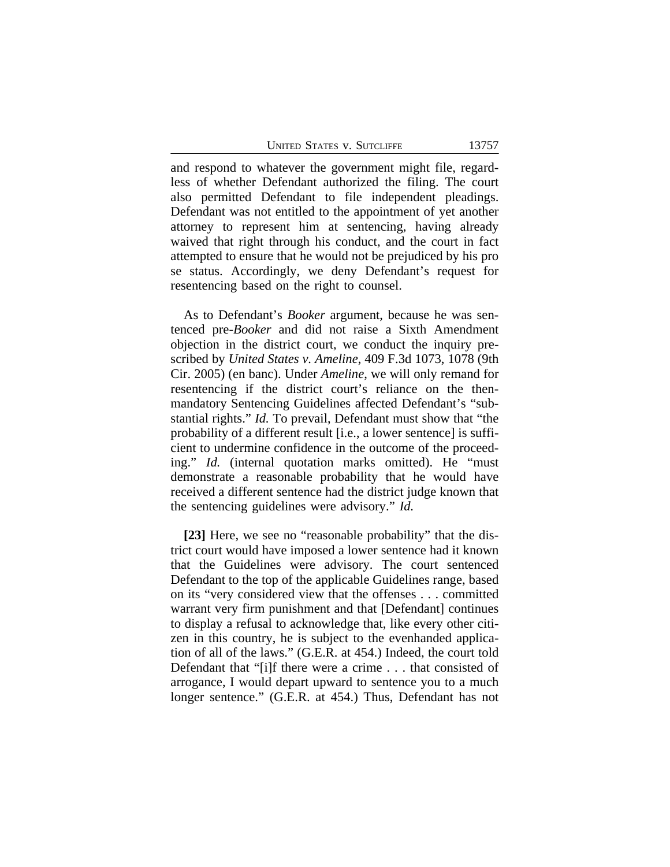UNITED STATES V. SUTCLIFFE 13757

and respond to whatever the government might file, regardless of whether Defendant authorized the filing. The court also permitted Defendant to file independent pleadings. Defendant was not entitled to the appointment of yet another attorney to represent him at sentencing, having already waived that right through his conduct, and the court in fact attempted to ensure that he would not be prejudiced by his pro se status. Accordingly, we deny Defendant's request for resentencing based on the right to counsel.

As to Defendant's *Booker* argument, because he was sentenced pre-*Booker* and did not raise a Sixth Amendment objection in the district court, we conduct the inquiry prescribed by *United States v. Ameline*, 409 F.3d 1073, 1078 (9th Cir. 2005) (en banc). Under *Ameline*, we will only remand for resentencing if the district court's reliance on the thenmandatory Sentencing Guidelines affected Defendant's "substantial rights." *Id.* To prevail, Defendant must show that "the probability of a different result [i.e., a lower sentence] is sufficient to undermine confidence in the outcome of the proceeding." *Id.* (internal quotation marks omitted). He "must demonstrate a reasonable probability that he would have received a different sentence had the district judge known that the sentencing guidelines were advisory." *Id.* 

[23] Here, we see no "reasonable probability" that the district court would have imposed a lower sentence had it known that the Guidelines were advisory. The court sentenced Defendant to the top of the applicable Guidelines range, based on its "very considered view that the offenses . . . committed warrant very firm punishment and that [Defendant] continues to display a refusal to acknowledge that, like every other citizen in this country, he is subject to the evenhanded application of all of the laws." (G.E.R. at 454.) Indeed, the court told Defendant that "[i]f there were a crime . . . that consisted of arrogance, I would depart upward to sentence you to a much longer sentence." (G.E.R. at 454.) Thus, Defendant has not